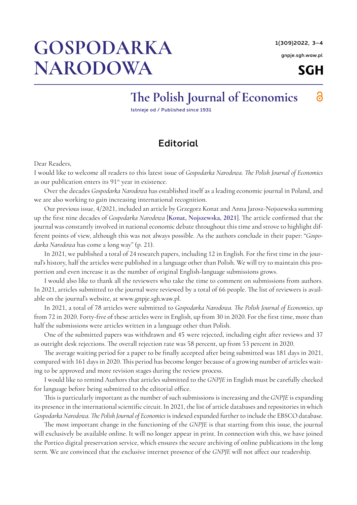1(309)2022, 3–4

[gnpje.sgh.waw.pl](http://gnpje.sgh.waw.pl)

**SGH** 

а

## GOSPODARKA NARODOWA

## The Polish Journal of Economics

Istnieje od / Published since 1931

## **Editorial**

Dear Readers,

I would like to welcome all readers to this latest issue of *Gospodarka Narodowa. The Polish Journal of Economics*  as our publication enters its 91<sup>st</sup> year in existence.

Over the decades *Gospodarka Narodowa* has established itself as a leading economic journal in Poland, and we are also working to gain increasing international recognition.

Our previous issue, 4/2021, included an article by Grzegorz Konat and Anna Jarosz-Nojszewska summing up the first nine decades of *Gospodarka Narodowa* [**[Konat, Nojszewska, 2021](#page-1-0)**]. The article confirmed that the journal was constantly involved in national economic debate throughout this time and strove to highlight different points of view, although this was not always possible. As the authors conclude in their paper: "*Gospodarka Narodowa* has come a long way" (p. 21).

In 2021, we published a total of 24 research papers, including 12 in English. For the first time in the journal's history, half the articles were published in a language other than Polish. We will try to maintain this proportion and even increase it as the number of original English-language submissions grows.

I would also like to thank all the reviewers who take the time to comment on submissions from authors. In 2021, articles submitted to the journal were reviewed by a total of 66 people. The list of reviewers is available on the journal's website, at www.gnpje.sgh.waw.pl.

In 2021, a total of 78 articles were submitted to *Gospodarka Narodowa. The Polish Journal of Economics*, up from 72 in 2020. Forty-five of these articles were in English, up from 30 in 2020. For the first time, more than half the submissions were articles written in a language other than Polish.

One of the submitted papers was withdrawn and 45 were rejected, including eight after reviews and 37 as outright desk rejections. The overall rejection rate was 58 percent, up from 53 percent in 2020.

The average waiting period for a paper to be finally accepted after being submitted was 181 days in 2021, compared with 161 days in 2020. This period has become longer because of a growing number of articles waiting to be approved and more revision stages during the review process.

I would like to remind Authors that articles submitted to the *GNPJE* in English must be carefully checked for language before being submitted to the editorial office.

This is particularly important as the number of such submissions is increasing and the *GNPJE* is expanding its presence in the international scientific circuit. In 2021, the list of article databases and repositories in which *Gospodarka Narodowa. The Polish Journal of Economics* is indexed expanded further to include the EBSCO database.

The most important change in the functioning of the *GNPJE* is that starting from this issue, the journal will exclusively be available online. It will no longer appear in print. In connection with this, we have joined the Portico digital preservation service, which ensures the secure archiving of online publications in the long term. We are convinced that the exclusive internet presence of the *GNPJE* will not affect our readership.